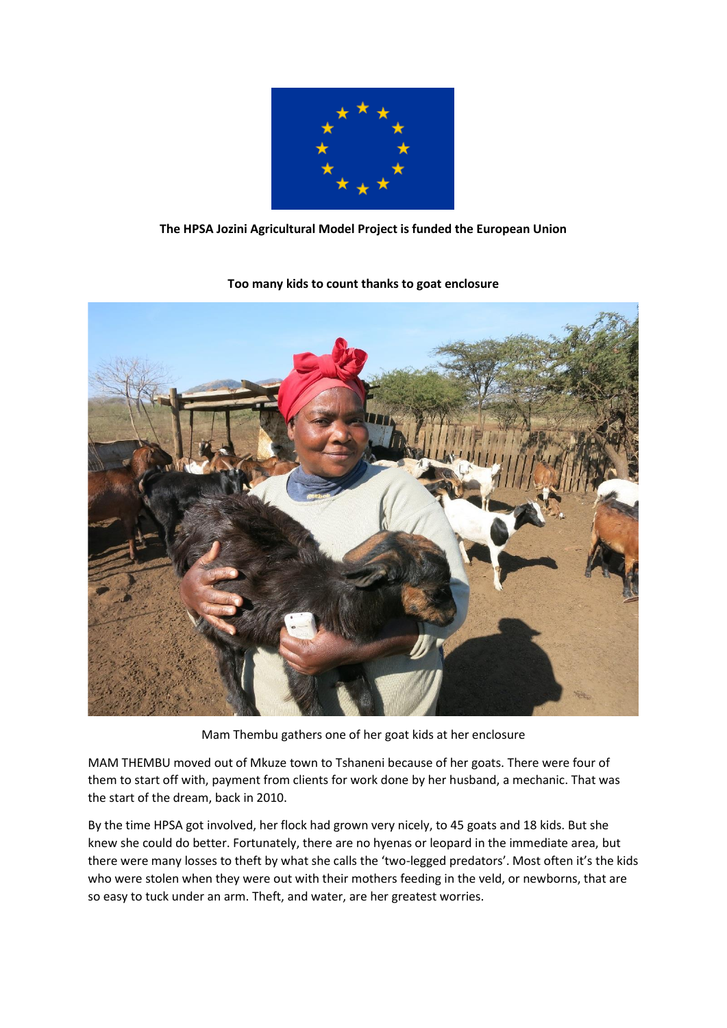

## **The HPSA Jozini Agricultural Model Project is funded the European Union**



## **Too many kids to count thanks to goat enclosure**

Mam Thembu gathers one of her goat kids at her enclosure

MAM THEMBU moved out of Mkuze town to Tshaneni because of her goats. There were four of them to start off with, payment from clients for work done by her husband, a mechanic. That was the start of the dream, back in 2010.

By the time HPSA got involved, her flock had grown very nicely, to 45 goats and 18 kids. But she knew she could do better. Fortunately, there are no hyenas or leopard in the immediate area, but there were many losses to theft by what she calls the 'two-legged predators'. Most often it's the kids who were stolen when they were out with their mothers feeding in the veld, or newborns, that are so easy to tuck under an arm. Theft, and water, are her greatest worries.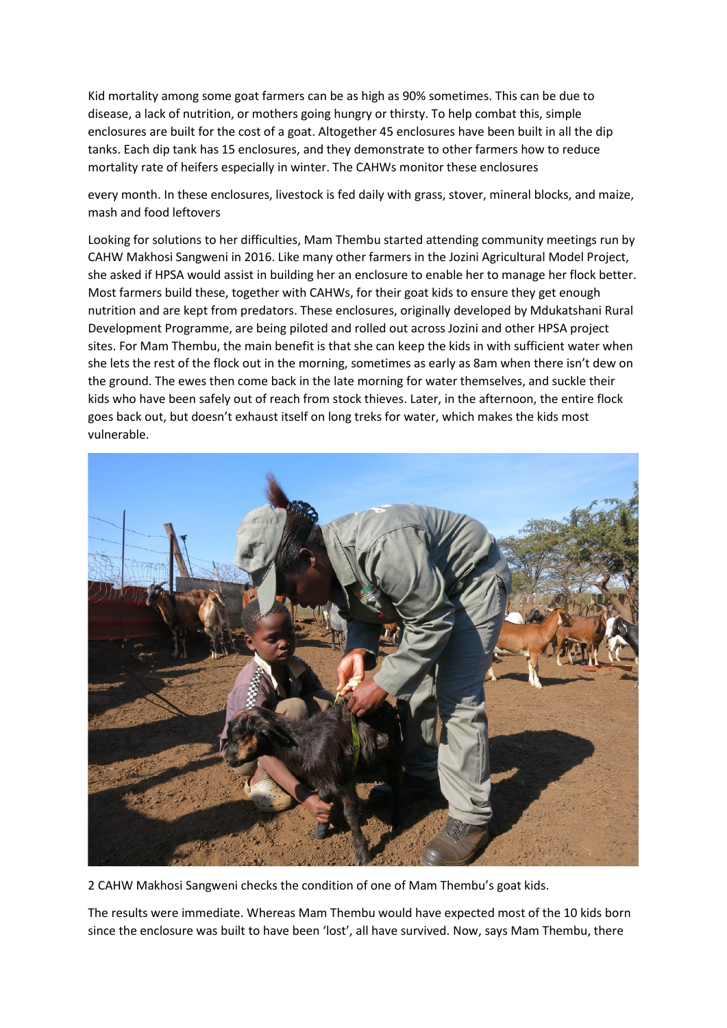Kid mortality among some goat farmers can be as high as 90% sometimes. This can be due to disease, a lack of nutrition, or mothers going hungry or thirsty. To help combat this, simple enclosures are built for the cost of a goat. Altogether 45 enclosures have been built in all the dip tanks. Each dip tank has 15 enclosures, and they demonstrate to other farmers how to reduce mortality rate of heifers especially in winter. The CAHWs monitor these enclosures

every month. In these enclosures, livestock is fed daily with grass, stover, mineral blocks, and maize, mash and food leftovers

Looking for solutions to her difficulties, Mam Thembu started attending community meetings run by CAHW Makhosi Sangweni in 2016. Like many other farmers in the Jozini Agricultural Model Project, she asked if HPSA would assist in building her an enclosure to enable her to manage her flock better. Most farmers build these, together with CAHWs, for their goat kids to ensure they get enough nutrition and are kept from predators. These enclosures, originally developed by Mdukatshani Rural Development Programme, are being piloted and rolled out across Jozini and other HPSA project sites. For Mam Thembu, the main benefit is that she can keep the kids in with sufficient water when she lets the rest of the flock out in the morning, sometimes as early as 8am when there isn't dew on the ground. The ewes then come back in the late morning for water themselves, and suckle their kids who have been safely out of reach from stock thieves. Later, in the afternoon, the entire flock goes back out, but doesn't exhaust itself on long treks for water, which makes the kids most vulnerable.



2 CAHW Makhosi Sangweni checks the condition of one of Mam Thembu's goat kids.

The results were immediate. Whereas Mam Thembu would have expected most of the 10 kids born since the enclosure was built to have been 'lost', all have survived. Now, says Mam Thembu, there